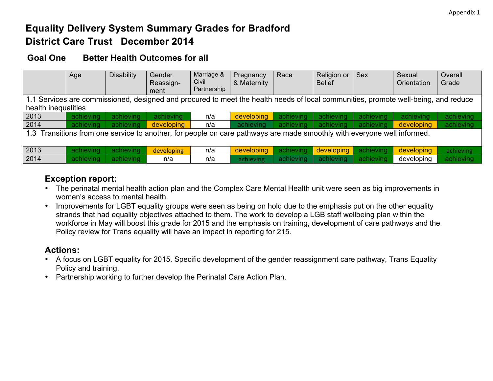# **Equality Delivery System Summary Grades for Bradford District Care Trust December 2014**

### **Goal One Better Health Outcomes for all**

|                                                                                                                                    | Age                                                                                                                     | <b>Disability</b> | Gender<br>Reassign-<br>ment | Marriage &<br>Civil<br>Partnership | Pregnancy<br>& Maternity | Race      | Religion or<br><b>Belief</b> | <b>Sex</b> | Sexual<br>Orientation | Overall<br>Grade |
|------------------------------------------------------------------------------------------------------------------------------------|-------------------------------------------------------------------------------------------------------------------------|-------------------|-----------------------------|------------------------------------|--------------------------|-----------|------------------------------|------------|-----------------------|------------------|
| 1.1 Services are commissioned, designed and procured to meet the health needs of local communities, promote well-being, and reduce |                                                                                                                         |                   |                             |                                    |                          |           |                              |            |                       |                  |
| health inequalities                                                                                                                |                                                                                                                         |                   |                             |                                    |                          |           |                              |            |                       |                  |
| 2013                                                                                                                               | achieving                                                                                                               | achieving         | achieving                   | n/a                                | developing               | achieving | achieving                    | achieving  | achieving             | achieving        |
| 2014                                                                                                                               | achieving                                                                                                               | achieving         | developing                  | n/a                                | achieving                | achieving | achieving                    | achieving  | developing            | achieving        |
|                                                                                                                                    | 1.3 Transitions from one service to another, for people on care pathways are made smoothly with everyone well informed. |                   |                             |                                    |                          |           |                              |            |                       |                  |
|                                                                                                                                    |                                                                                                                         |                   |                             |                                    |                          |           |                              |            |                       |                  |
| 2013                                                                                                                               | achieving                                                                                                               | achieving         | developing                  | n/a                                | developing               | achieving | developing                   | achieving  | developing            | achieving        |
| 2014                                                                                                                               | achieving                                                                                                               | achieving         | n/a                         | n/a                                | achieving                | achieving | achieving                    | achieving  | developing            | achieving        |

# **Exception report:**

- The perinatal mental health action plan and the Complex Care Mental Health unit were seen as big improvements in women's access to mental health.
- Improvements for LGBT equality groups were seen as being on hold due to the emphasis put on the other equality strands that had equality objectives attached to them. The work to develop a LGB staff wellbeing plan within the workforce in May will boost this grade for 2015 and the emphasis on training, development of care pathways and the Policy review for Trans equality will have an impact in reporting for 215.

# **Actions:**

- A focus on LGBT equality for 2015. Specific development of the gender reassignment care pathway, Trans Equality Policy and training.
- Partnership working to further develop the Perinatal Care Action Plan.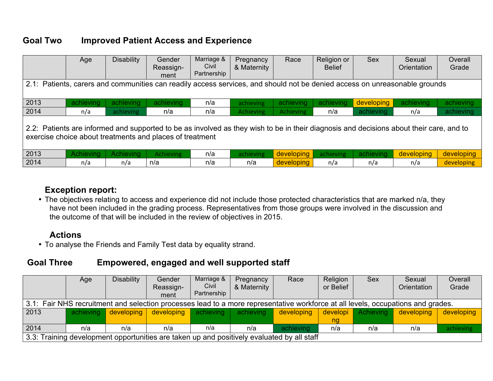# **Goal Two Improved Patient Access and Experience**

|                                                                                                                                                                                                     | Age       | <b>Disability</b> | Gender<br>Reassign-<br>ment | Marriage &<br>Civil<br>Partnership | Pregnancy<br>& Maternity | Race             | Religion or<br><b>Belief</b> | <b>Sex</b> | Sexual<br>Orientation | Overall<br>Grade |
|-----------------------------------------------------------------------------------------------------------------------------------------------------------------------------------------------------|-----------|-------------------|-----------------------------|------------------------------------|--------------------------|------------------|------------------------------|------------|-----------------------|------------------|
| 2.1: Patients, carers and communities can readily access services, and should not be denied access on unreasonable grounds                                                                          |           |                   |                             |                                    |                          |                  |                              |            |                       |                  |
| 2013                                                                                                                                                                                                | achieving | achieving         | achieving                   | n/a                                | achieving                | achieving        | achieving                    | developing | achieving             | achieving        |
| 2014                                                                                                                                                                                                | n/a       | achieving         | n/a                         | n/a                                | <b>Achieving</b>         | <b>Achieving</b> | n/a                          | achieving  | n/a                   | achieving        |
| 2.2. Patients are informed and supported to be as involved as they wish to be in their diagnosis and decisions about their care, and to<br>exercise choice about treatments and places of treatment |           |                   |                             |                                    |                          |                  |                              |            |                       |                  |
| 2013                                                                                                                                                                                                | Achieving | Achieving         | <b>Achieving</b>            | n/a                                | achieving                | developing       | achieving                    | achieving  | developing            | developing       |
| 2014                                                                                                                                                                                                | n/a       | n/a               | n/a                         | n/a                                | n/a                      | developing       | n/a                          | n/a        | n/a                   | developing       |

### **Exception report:**

• The objectives relating to access and experience did not include those protected characteristics that are marked n/a, they have not been included in the grading process. Representatives from those groups were involved in the discussion and the outcome of that will be included in the review of objectives in 2015.

### **Actions**

• To analyse the Friends and Family Test data by equality strand.

# **Goal Three Empowered, engaged and well supported staff**

|                                                                                                                                  | Age | <b>Disability</b>    | Gender     | Marriage &  | Pregnancy   | Race       | Religion  | <b>Sex</b> | Sexual      | Overall    |
|----------------------------------------------------------------------------------------------------------------------------------|-----|----------------------|------------|-------------|-------------|------------|-----------|------------|-------------|------------|
|                                                                                                                                  |     |                      | Reassign-  | Civil       | & Maternity |            | or Belief |            | Orientation | Grade      |
|                                                                                                                                  |     |                      | ment       | Partnership |             |            |           |            |             |            |
| 3.1: Fair NHS recruitment and selection processes lead to a more representative workforce at all levels, occupations and grades. |     |                      |            |             |             |            |           |            |             |            |
| 2013                                                                                                                             |     | achieving developing | developing | achieving   | achieving   | developing | developi  | Achieving  | developing  | developing |
|                                                                                                                                  |     |                      |            |             |             |            | na        |            |             |            |
| 2014                                                                                                                             | n/a | n/a                  | n/a        | n/a         | n/a         | achieving  | n/a       | n/a        | n/a         | achieving  |
| 3.3: Training development opportunities are taken up and positively evaluated by all staff                                       |     |                      |            |             |             |            |           |            |             |            |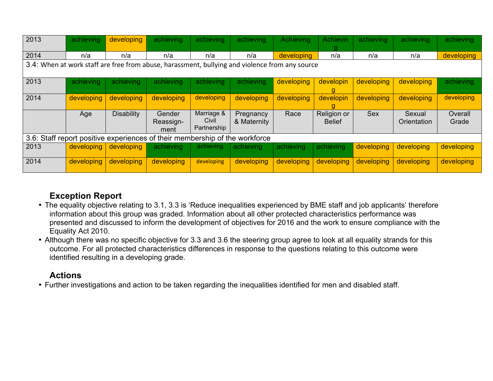| 2013                                                                                           | achieving                                                                   | developing        | achieving                   | achieving                          | achieving                | Achieving  | <b>Achievin</b>              | achieving  | achieving             | achieving        |
|------------------------------------------------------------------------------------------------|-----------------------------------------------------------------------------|-------------------|-----------------------------|------------------------------------|--------------------------|------------|------------------------------|------------|-----------------------|------------------|
| 2014                                                                                           | n/a                                                                         | n/a               | n/a                         | n/a                                | n/a                      | developing | n/a                          | n/a        | n/a                   | developing       |
| 3.4: When at work staff are free from abuse, harassment, bullying and violence from any source |                                                                             |                   |                             |                                    |                          |            |                              |            |                       |                  |
| 2013                                                                                           | achieving                                                                   | achieving         | achieving                   | achieving                          | achieving                | developing | developin<br>g               | developing | developing            | achieving        |
| 2014                                                                                           | developing                                                                  | developing        | developing                  | developing                         | developing               | developing | developin                    | developing | developing            | developing       |
|                                                                                                | Age                                                                         | <b>Disability</b> | Gender<br>Reassign-<br>ment | Marriage &<br>Civil<br>Partnership | Pregnancy<br>& Maternity | Race       | Religion or<br><b>Belief</b> | <b>Sex</b> | Sexual<br>Orientation | Overall<br>Grade |
|                                                                                                | 3.6: Staff report positive experiences of their membership of the workforce |                   |                             |                                    |                          |            |                              |            |                       |                  |
| 2013                                                                                           | developing                                                                  | developing        | achieving                   | achieving.                         | achieving                | achieving  | achieving                    | developing | developing            | developing       |
| 2014                                                                                           | developing                                                                  | developing        | developing                  | developing                         | developing               | developing | developing                   | developing | developing            | developing       |

# **Exception Report**

- The equality objective relating to 3.1, 3.3 is 'Reduce inequalities experienced by BME staff and job applicants' therefore information about this group was graded. Information about all other protected characteristics performance was presented and discussed to inform the development of objectives for 2016 and the work to ensure compliance with the Equality Act 2010.
- Although there was no specific objective for 3.3 and 3.6 the steering group agree to look at all equality strands for this outcome. For all protected characteristics differences in response to the questions relating to this outcome were identified resulting in a developing grade.

### **Actions**

• Further investigations and action to be taken regarding the inequalities identified for men and disabled staff.